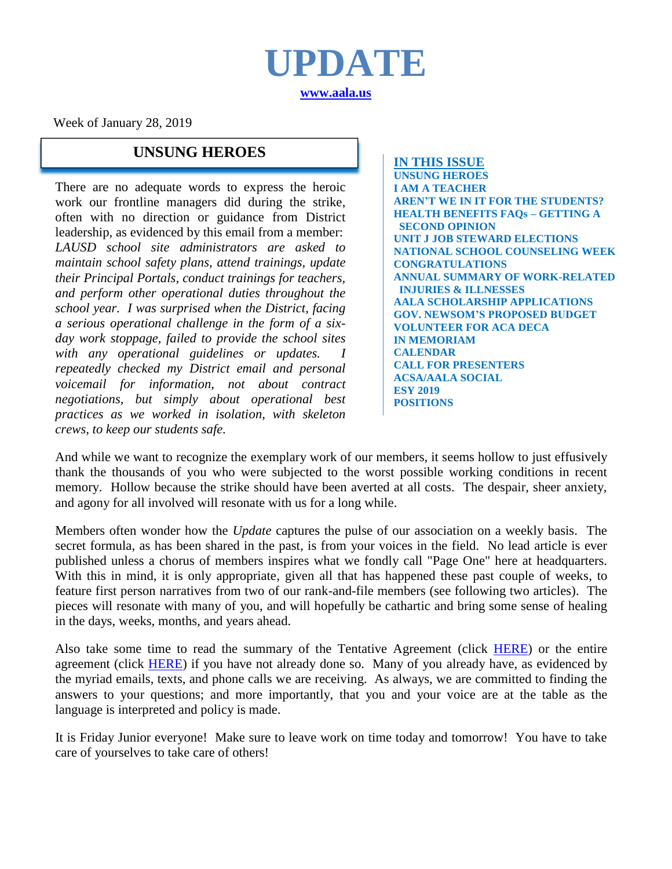**UPDATE [www.aala.us](http://www.aala.us/)**

Week of January 28, 2019

# **UNSUNG HEROES IN THIS ISSUE**

There are no adequate words to express the heroic work our frontline managers did during the strike, often with no direction or guidance from District leadership, as evidenced by this email from a member: *LAUSD school site administrators are asked to maintain school safety plans, attend trainings, update their Principal Portals, conduct trainings for teachers, and perform other operational duties throughout the school year. I was surprised when the District, facing a serious operational challenge in the form of a sixday work stoppage, failed to provide the school sites with any operational guidelines or updates. I repeatedly checked my District email and personal voicemail for information, not about contract negotiations, but simply about operational best practices as we worked in isolation, with skeleton crews, to keep our students safe.*

**UNSUNG HEROES I AM A TEACHER AREN'T WE IN IT FOR THE STUDENTS? HEALTH BENEFITS FAQs – GETTING A SECOND OPINION UNIT J JOB STEWARD ELECTIONS NATIONAL SCHOOL COUNSELING WEEK CONGRATULATIONS ANNUAL SUMMARY OF WORK-RELATED INJURIES & ILLNESSES AALA SCHOLARSHIP APPLICATIONS GOV. NEWSOM'S PROPOSED BUDGET VOLUNTEER FOR ACA DECA IN MEMORIAM CALENDAR CALL FOR PRESENTERS ACSA/AALA SOCIAL ESY 2019 POSITIONS**

And while we want to recognize the exemplary work of our members, it seems hollow to just effusively thank the thousands of you who were subjected to the worst possible working conditions in recent memory. Hollow because the strike should have been averted at all costs. The despair, sheer anxiety, and agony for all involved will resonate with us for a long while.

Members often wonder how the *Update* captures the pulse of our association on a weekly basis. The secret formula, as has been shared in the past, is from your voices in the field. No lead article is ever published unless a chorus of members inspires what we fondly call "Page One" here at headquarters. With this in mind, it is only appropriate, given all that has happened these past couple of weeks, to feature first person narratives from two of our rank-and-file members (see following two articles). The pieces will resonate with many of you, and will hopefully be cathartic and bring some sense of healing in the days, weeks, months, and years ahead.

Also take some time to read the summary of the Tentative Agreement (click **HERE**) or the entire agreement (click [HERE\)](http://www.aala.us/docs/2019/01/UTLA-LAUSD-Tentative-Agreement-Full-Text-012219-1.pdf) if you have not already done so. Many of you already have, as evidenced by the myriad emails, texts, and phone calls we are receiving. As always, we are committed to finding the answers to your questions; and more importantly, that you and your voice are at the table as the language is interpreted and policy is made.

It is Friday Junior everyone! Make sure to leave work on time today and tomorrow! You have to take care of yourselves to take care of others!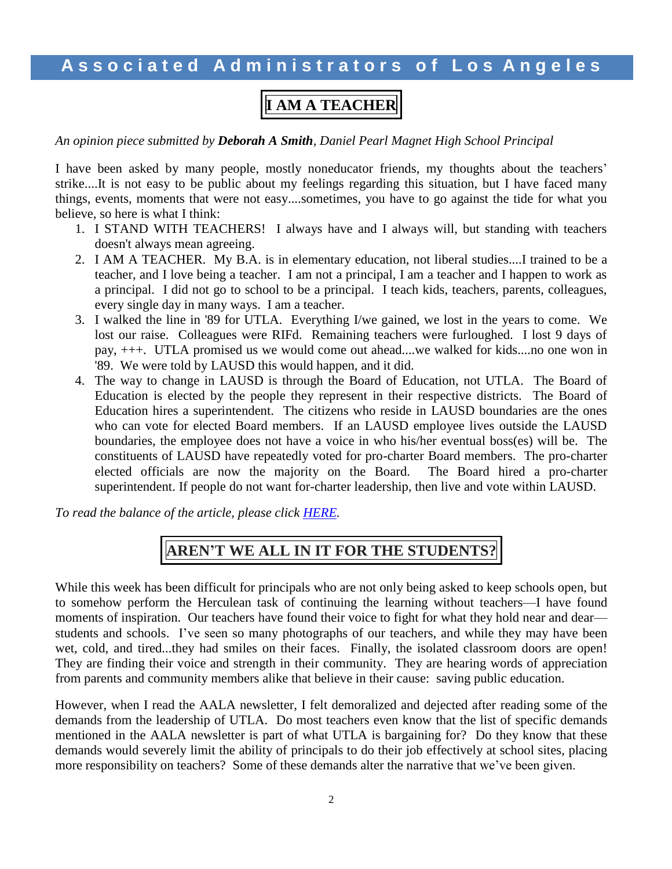#### **I AM A TEACHER**

*An opinion piece submitted by Deborah A Smith, Daniel Pearl Magnet High School Principal*

I have been asked by many people, mostly noneducator friends, my thoughts about the teachers' strike....It is not easy to be public about my feelings regarding this situation, but I have faced many things, events, moments that were not easy....sometimes, you have to go against the tide for what you believe, so here is what I think:

- 1. I STAND WITH TEACHERS! I always have and I always will, but standing with teachers doesn't always mean agreeing.
- 2. I AM A TEACHER. My B.A. is in elementary education, not liberal studies....I trained to be a teacher, and I love being a teacher. I am not a principal, I am a teacher and I happen to work as a principal. I did not go to school to be a principal. I teach kids, teachers, parents, colleagues, every single day in many ways. I am a teacher.
- 3. I walked the line in '89 for UTLA. Everything I/we gained, we lost in the years to come. We lost our raise. Colleagues were RIFd. Remaining teachers were furloughed. I lost 9 days of pay, +++. UTLA promised us we would come out ahead....we walked for kids....no one won in '89. We were told by LAUSD this would happen, and it did.
- 4. The way to change in LAUSD is through the Board of Education, not UTLA. The Board of Education is elected by the people they represent in their respective districts. The Board of Education hires a superintendent. The citizens who reside in LAUSD boundaries are the ones who can vote for elected Board members. If an LAUSD employee lives outside the LAUSD boundaries, the employee does not have a voice in who his/her eventual boss(es) will be. The constituents of LAUSD have repeatedly voted for pro-charter Board members. The pro-charter elected officials are now the majority on the Board. The Board hired a pro-charter superintendent. If people do not want for-charter leadership, then live and vote within LAUSD.

*To read the balance of the article, please click [HERE.](http://www.aala.us/docs/2019/01/I-AM-A-TEACHER.pdf)*

#### **AREN'T WE ALL IN IT FOR THE STUDENTS?**

While this week has been difficult for principals who are not only being asked to keep schools open, but to somehow perform the Herculean task of continuing the learning without teachers—I have found moments of inspiration. Our teachers have found their voice to fight for what they hold near and dear students and schools. I've seen so many photographs of our teachers, and while they may have been wet, cold, and tired...they had smiles on their faces. Finally, the isolated classroom doors are open! They are finding their voice and strength in their community. They are hearing words of appreciation from parents and community members alike that believe in their cause: saving public education.

However, when I read the AALA newsletter, I felt demoralized and dejected after reading some of the demands from the leadership of UTLA. Do most teachers even know that the list of specific demands mentioned in the AALA newsletter is part of what UTLA is bargaining for? Do they know that these demands would severely limit the ability of principals to do their job effectively at school sites, placing more responsibility on teachers? Some of these demands alter the narrative that we've been given.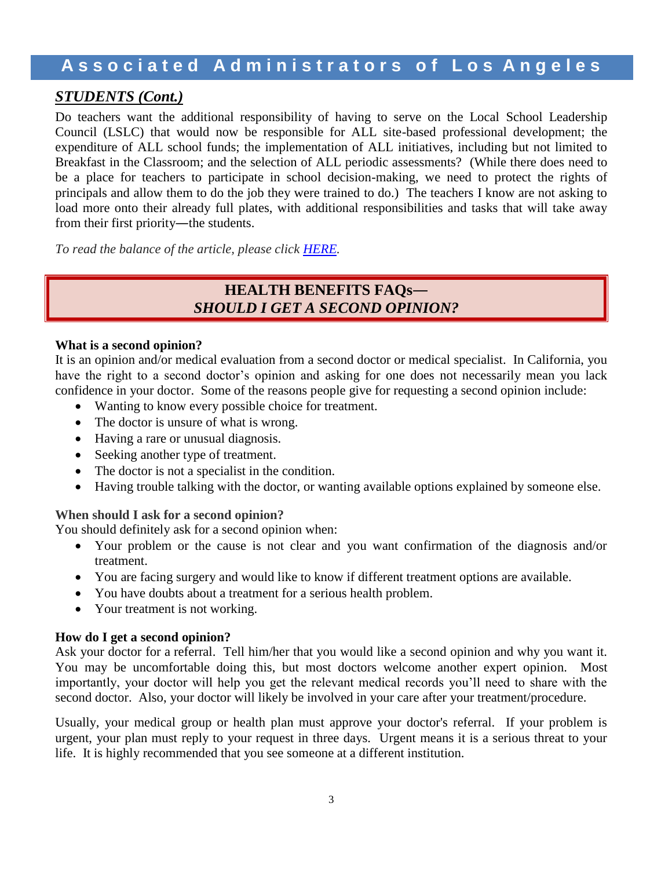#### *STUDENTS (Cont.)*

Do teachers want the additional responsibility of having to serve on the Local School Leadership Council (LSLC) that would now be responsible for ALL site-based professional development; the expenditure of ALL school funds; the implementation of ALL initiatives, including but not limited to Breakfast in the Classroom; and the selection of ALL periodic assessments? (While there does need to be a place for teachers to participate in school decision-making, we need to protect the rights of principals and allow them to do the job they were trained to do.) The teachers I know are not asking to load more onto their already full plates, with additional responsibilities and tasks that will take away from their first priority—the students.

*To read the balance of the article, please click [HERE.](http://www.aala.us/docs/2019/01/Arent-We-All-In-It-For-The-Students_.pdf)*

#### **HEALTH BENEFITS FAQs―** *SHOULD I GET A SECOND OPINION?*

#### **What is a second opinion?**

It is an opinion and/or medical evaluation from a second doctor or medical specialist. In California, you have the right to a second doctor's opinion and asking for one does not necessarily mean you lack confidence in your doctor. Some of the reasons people give for requesting a second opinion include:

- Wanting to know every possible choice for treatment.
- The doctor is unsure of what is wrong.
- Having a rare or unusual diagnosis.
- Seeking another type of treatment.
- The doctor is not a specialist in the condition.
- Having trouble talking with the doctor, or wanting available options explained by someone else.

#### **When should I ask for a second opinion?**

You should definitely ask for a second opinion when:

- Your problem or the cause is not clear and you want confirmation of the diagnosis and/or treatment.
- You are facing surgery and would like to know if different treatment options are available.
- You have doubts about a treatment for a serious health problem.
- Your treatment is not working.

#### **How do I get a second opinion?**

Ask your doctor for a referral. Tell him/her that you would like a second opinion and why you want it. You may be uncomfortable doing this, but most doctors welcome another expert opinion. Most importantly, your doctor will help you get the relevant medical records you'll need to share with the second doctor. Also, your doctor will likely be involved in your care after your treatment/procedure.

Usually, your medical group or health plan must approve your doctor's referral. If your problem is urgent, your plan must reply to your request in three days. Urgent means it is a serious threat to your life. It is highly recommended that you see someone at a different institution.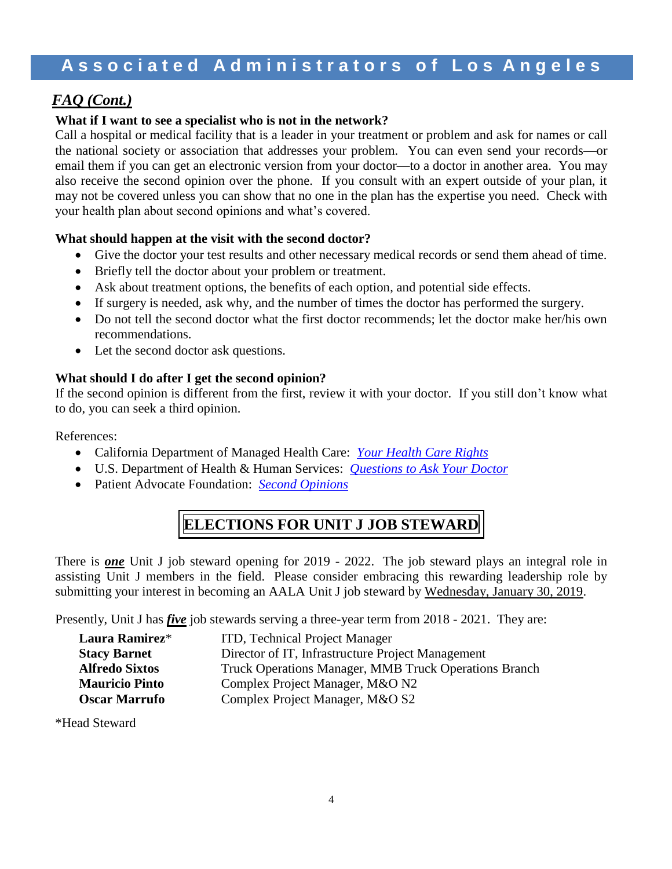#### *FAQ (Cont.)*

#### **What if I want to see a specialist who is not in the network?**

Call a hospital or medical facility that is a leader in your treatment or problem and ask for names or call the national society or association that addresses your problem. You can even send your records—or email them if you can get an electronic version from your doctor—to a doctor in another area. You may also receive the second opinion over the phone. If you consult with an expert outside of your plan, it may not be covered unless you can show that no one in the plan has the expertise you need. Check with your health plan about second opinions and what's covered.

#### **What should happen at the visit with the second doctor?**

- Give the doctor your test results and other necessary medical records or send them ahead of time.
- Briefly tell the doctor about your problem or treatment.
- Ask about treatment options, the benefits of each option, and potential side effects.
- If surgery is needed, ask why, and the number of times the doctor has performed the surgery.
- Do not tell the second doctor what the first doctor recommends; let the doctor make her/his own recommendations.
- Let the second doctor ask questions.

#### **What should I do after I get the second opinion?**

If the second opinion is different from the first, review it with your doctor. If you still don't know what to do, you can seek a third opinion.

References:

- California Department of Managed Health Care: *[Your Health Care](http://www.dmhc.ca.gov/HealthCareinCalifornia/YourHealthCareRights.aspx) Rights*
- U.S. Department of Health & Human Services: *[Questions to Ask Your Doctor](https://www.ahrq.gov/patients-consumers/patient-involvement/ask-your-doctor/index.html)*
- Patient Advocate Foundation: *[Second Opinions](https://www.patientadvocate.org/cardio-it-matters-sheets/second-opinions/)*

## **ELECTIONS FOR UNIT J JOB STEWARD**

There is *one* Unit J job steward opening for 2019 - 2022. The job steward plays an integral role in assisting Unit J members in the field. Please consider embracing this rewarding leadership role by submitting your interest in becoming an AALA Unit J job steward by Wednesday, January 30, 2019.

Presently, Unit J has *five* job stewards serving a three-year term from 2018 - 2021. They are:

| Laura Ramirez*        | ITD, Technical Project Manager                        |
|-----------------------|-------------------------------------------------------|
| <b>Stacy Barnet</b>   | Director of IT, Infrastructure Project Management     |
| <b>Alfredo Sixtos</b> | Truck Operations Manager, MMB Truck Operations Branch |
| <b>Mauricio Pinto</b> | Complex Project Manager, M&O N2                       |
| <b>Oscar Marrufo</b>  | Complex Project Manager, M&O S2                       |

\*Head Steward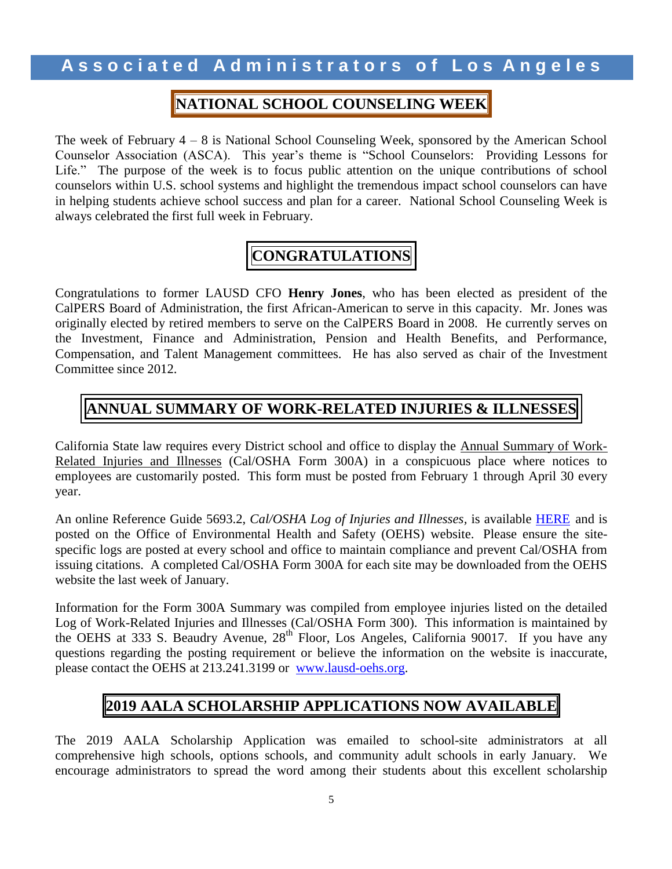#### **NATIONAL SCHOOL COUNSELING WEEK**

The week of February 4 – 8 is National School Counseling Week, sponsored by the American School Counselor Association (ASCA). This year's theme is "School Counselors: Providing Lessons for Life." The purpose of the week is to focus public attention on the unique contributions of school counselors within U.S. school systems and highlight the tremendous impact school counselors can have in helping students achieve school success and plan for a career. National School Counseling Week is always celebrated the first full week in February.

# **CONGRATULATIONS**

Congratulations to former LAUSD CFO **Henry Jones**, who has been elected as president of the CalPERS Board of Administration, the first African-American to serve in this capacity. Mr. Jones was originally elected by retired members to serve on the CalPERS Board in 2008. He currently serves on the Investment, Finance and Administration, Pension and Health Benefits, and Performance, Compensation, and Talent Management committees. He has also served as chair of the Investment Committee since 2012.

#### **ANNUAL SUMMARY OF WORK-RELATED INJURIES & ILLNESSES**

California State law requires every District school and office to display the Annual Summary of Work-Related Injuries and Illnesses (Cal/OSHA Form 300A) in a conspicuous place where notices to employees are customarily posted. This form must be posted from February 1 through April 30 every year.

An online Reference Guide 5693.2, *Cal/OSHA Log of Injuries and Illnesses,* is available [HERE](https://achieve.lausd.net/cms/lib/CA01000043/Centricity/domain/135/pdf%20files/REF5673.2CalOSHALogofInjuriesandIllnesses.pdf) and is posted on the Office of Environmental Health and Safety (OEHS) website. Please ensure the sitespecific logs are posted at every school and office to maintain compliance and prevent Cal/OSHA from issuing citations. A completed Cal/OSHA Form 300A for each site may be downloaded from the OEHS website the last week of January.

Information for the Form 300A Summary was compiled from employee injuries listed on the detailed Log of Work-Related Injuries and Illnesses (Cal/OSHA Form 300). This information is maintained by the OEHS at 333 S. Beaudry Avenue, 28<sup>th</sup> Floor, Los Angeles, California 90017. If you have any questions regarding the posting requirement or believe the information on the website is inaccurate, please contact the OEHS at 213.241.3199 or [www.lausd-oehs.org.](http://www.lausd-oehs.org/)

#### **2019 AALA SCHOLARSHIP APPLICATIONS NOW AVAILABLE**

The 2019 AALA Scholarship Application was emailed to school-site administrators at all comprehensive high schools, options schools, and community adult schools in early January. We encourage administrators to spread the word among their students about this excellent scholarship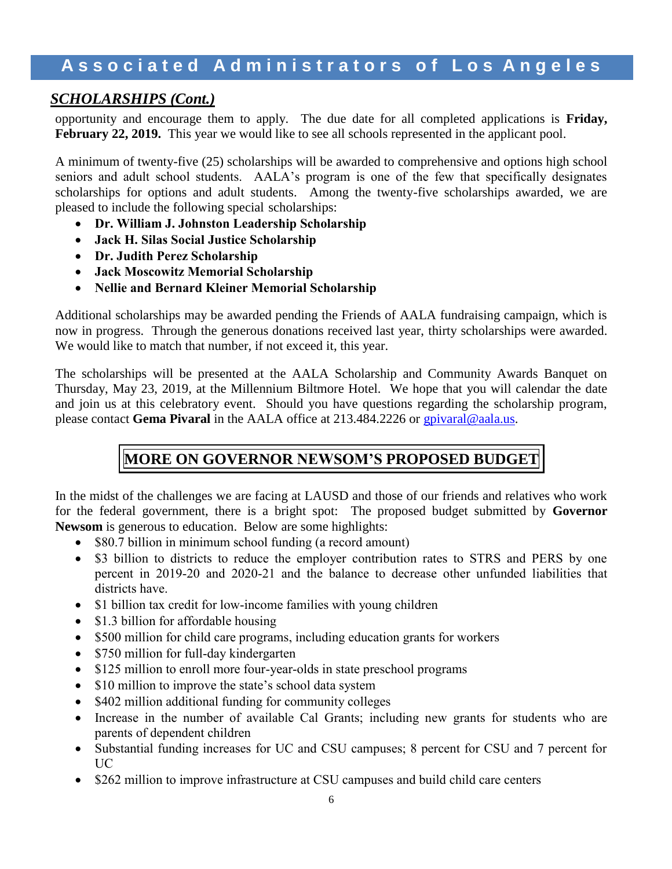#### *SCHOLARSHIPS (Cont.)*

opportunity and encourage them to apply. The due date for all completed applications is **Friday,**  February 22, 2019. This year we would like to see all schools represented in the applicant pool.

A minimum of twenty-five (25) scholarships will be awarded to comprehensive and options high school seniors and adult school students. AALA's program is one of the few that specifically designates scholarships for options and adult students. Among the twenty-five scholarships awarded, we are pleased to include the following special scholarships:

- **Dr. William J. Johnston Leadership Scholarship**
- **Jack H. Silas Social Justice Scholarship**
- **Dr. Judith Perez Scholarship**
- **Jack Moscowitz Memorial Scholarship**
- **Nellie and Bernard Kleiner Memorial Scholarship**

Additional scholarships may be awarded pending the Friends of AALA fundraising campaign, which is now in progress. Through the generous donations received last year, thirty scholarships were awarded. We would like to match that number, if not exceed it, this year.

The scholarships will be presented at the AALA Scholarship and Community Awards Banquet on Thursday, May 23, 2019, at the Millennium Biltmore Hotel. We hope that you will calendar the date and join us at this celebratory event. Should you have questions regarding the scholarship program, please contact **Gema Pivaral** in the AALA office at 213.484.2226 or [gpivaral@aala.us.](mailto:gpivaral@aala.us)

## **MORE ON GOVERNOR NEWSOM'S PROPOSED BUDGET**

In the midst of the challenges we are facing at LAUSD and those of our friends and relatives who work for the federal government, there is a bright spot: The proposed budget submitted by **Governor Newsom** is generous to education. Below are some highlights:

- \$80.7 billion in minimum school funding (a record amount)
- \$3 billion to districts to reduce the employer contribution rates to STRS and PERS by one percent in 2019-20 and 2020-21 and the balance to decrease other unfunded liabilities that districts have.
- \$1 billion tax credit for low-income families with young children
- \$1.3 billion for affordable housing
- \$500 million for child care programs, including education grants for workers
- \$750 million for full-day kindergarten
- \$125 million to enroll more four-year-olds in state preschool programs
- \$10 million to improve the state's school data system
- \$402 million additional funding for community colleges
- Increase in the number of available Cal Grants; including new grants for students who are parents of dependent children
- Substantial funding increases for UC and CSU campuses; 8 percent for CSU and 7 percent for UC
- \$262 million to improve infrastructure at CSU campuses and build child care centers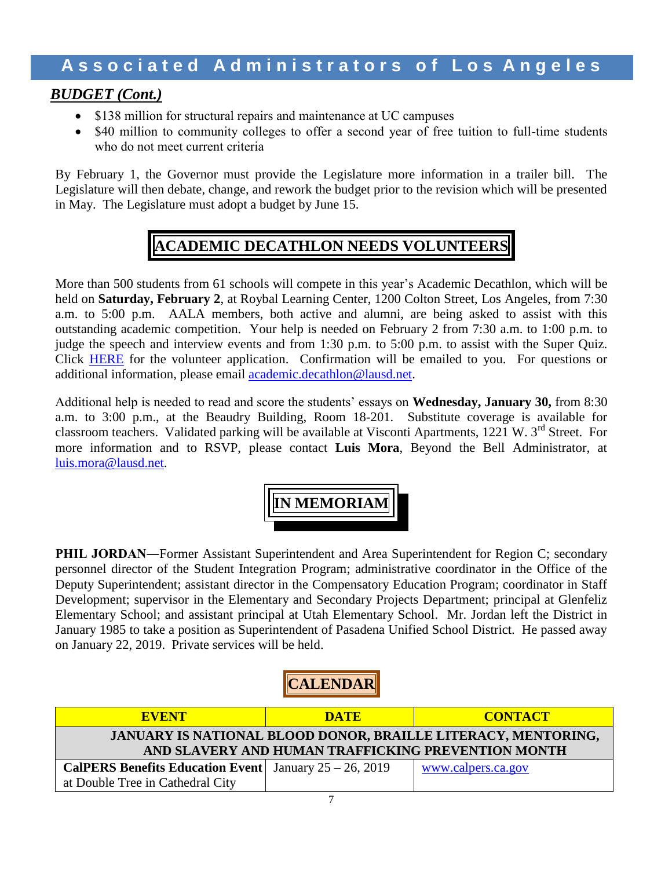#### *BUDGET (Cont.)*

- \$138 million for structural repairs and maintenance at UC campuses
- \$40 million to community colleges to offer a second year of free tuition to full-time students who do not meet current criteria

By February 1, the Governor must provide the Legislature more information in a trailer bill. The Legislature will then debate, change, and rework the budget prior to the revision which will be presented in May. The Legislature must adopt a budget by June 15.

## **ACADEMIC DECATHLON NEEDS VOLUNTEERS**

More than 500 students from 61 schools will compete in this year's Academic Decathlon, which will be held on **Saturday, February 2**, at Roybal Learning Center, 1200 Colton Street, Los Angeles, from 7:30 a.m. to 5:00 p.m. AALA members, both active and alumni, are being asked to assist with this outstanding academic competition. Your help is needed on February 2 from 7:30 a.m. to 1:00 p.m. to judge the speech and interview events and from 1:30 p.m. to 5:00 p.m. to assist with the Super Quiz. Click [HERE](https://na01.safelinks.protection.outlook.com/?url=https%3A%2F%2Fgoo.gl%2Fforms%2FH2Jr492VLy96ngnM2&data=02%7C01%7Cluis.mora%40lausd.net%7C31971a2b434c4dc6048508d670f5b2a7%7C042a40a1b1284ac48648016ffa121487%7C0%7C0%7C636820597906094030&sdata=eouqGVEMXA93373CetsGdQyJhQU9Oi9Sog1q5r%2FpLtk%3D&reserved=0) for the volunteer application. Confirmation will be emailed to you. For questions or additional information, please email [academic.decathlon@lausd.net.](mailto:academic.decathlon@lausd.net)

Additional help is needed to read and score the students' essays on **Wednesday, January 30,** from 8:30 a.m. to 3:00 p.m., at the Beaudry Building, Room 18-201. Substitute coverage is available for classroom teachers. Validated parking will be available at Visconti Apartments, 1221 W. 3<sup>rd</sup> Street. For more information and to RSVP, please contact **Luis Mora**, Beyond the Bell Administrator, at [luis.mora@lausd.net.](mailto:luis.mora@lausd.net)

**IN MEMORIAM**

**PHIL JORDAN—Former Assistant Superintendent and Area Superintendent for Region C; secondary** personnel director of the Student Integration Program; administrative coordinator in the Office of the Deputy Superintendent; assistant director in the Compensatory Education Program; coordinator in Staff Development; supervisor in the Elementary and Secondary Projects Department; principal at Glenfeliz Elementary School; and assistant principal at Utah Elementary School. Mr. Jordan left the District in January 1985 to take a position as Superintendent of Pasadena Unified School District. He passed away on January 22, 2019. Private services will be held.

**CALENDAR**

| <b>EVENT</b>                                                                                                               | <b>DATE</b> | <b>CONTACT</b>     |  |  |  |  |
|----------------------------------------------------------------------------------------------------------------------------|-------------|--------------------|--|--|--|--|
| <b>JANUARY IS NATIONAL BLOOD DONOR, BRAILLE LITERACY, MENTORING,</b><br>AND SLAVERY AND HUMAN TRAFFICKING PREVENTION MONTH |             |                    |  |  |  |  |
| <b>CalPERS Benefits Education Event</b> January $25 - 26$ , 2019<br>at Double Tree in Cathedral City                       |             | www.calpers.ca.gov |  |  |  |  |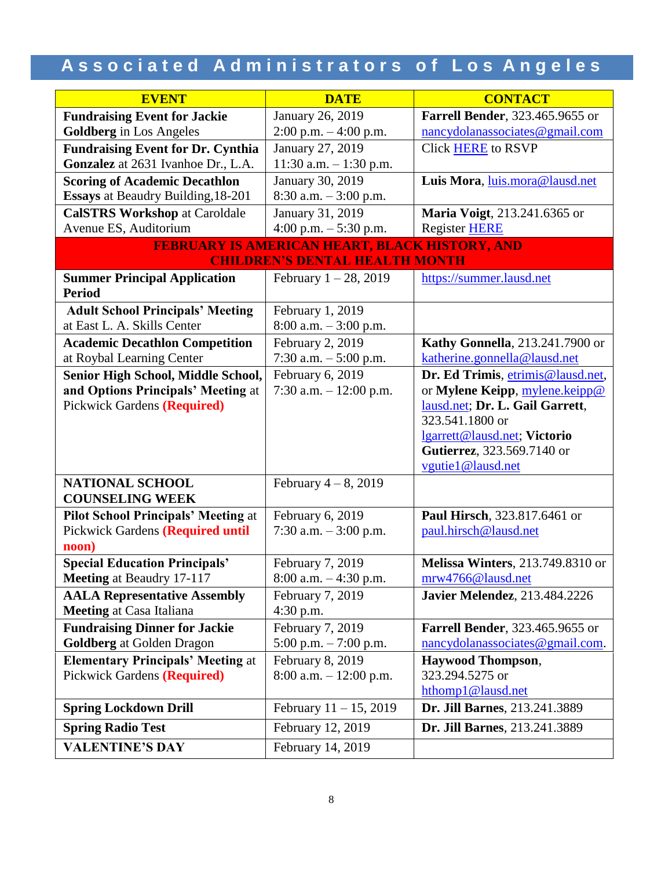| <b>EVENT</b>                                         | <b>DATE</b>                                           | <b>CONTACT</b>                                             |  |
|------------------------------------------------------|-------------------------------------------------------|------------------------------------------------------------|--|
| <b>Fundraising Event for Jackie</b>                  | January 26, 2019                                      | Farrell Bender, 323.465.9655 or                            |  |
| <b>Goldberg</b> in Los Angeles                       | 2:00 p.m. - 4:00 p.m.                                 | nancydolanassociates@gmail.com                             |  |
| <b>Fundraising Event for Dr. Cynthia</b>             | January 27, 2019                                      | <b>Click HERE to RSVP</b>                                  |  |
| Gonzalez at 2631 Ivanhoe Dr., L.A.                   | 11:30 a.m. $-1:30$ p.m.                               |                                                            |  |
| <b>Scoring of Academic Decathlon</b>                 | January 30, 2019                                      | Luis Mora, luis.mora@lausd.net                             |  |
| Essays at Beaudry Building, 18-201                   | $8:30$ a.m. $-3:00$ p.m.                              |                                                            |  |
| <b>CalSTRS Workshop at Caroldale</b>                 | January 31, 2019                                      | Maria Voigt, 213.241.6365 or                               |  |
| Avenue ES, Auditorium                                | 4:00 p.m. $-$ 5:30 p.m.                               | Register HERE                                              |  |
|                                                      | <b>FEBRUARY IS AMERICAN HEART, BLACK HISTORY, AND</b> |                                                            |  |
|                                                      | <b>CHILDREN'S DENTAL HEALTH MONTH</b>                 |                                                            |  |
| <b>Summer Principal Application</b><br><b>Period</b> | February $1 - 28$ , 2019                              | https://summer.lausd.net                                   |  |
| <b>Adult School Principals' Meeting</b>              | February 1, 2019                                      |                                                            |  |
| at East L. A. Skills Center                          | 8:00 a.m. - 3:00 p.m.                                 |                                                            |  |
| <b>Academic Decathlon Competition</b>                | February 2, 2019                                      | <b>Kathy Gonnella</b> , 213.241.7900 or                    |  |
| at Roybal Learning Center                            | 7:30 a.m. $-5:00$ p.m.                                | katherine.gonnella@lausd.net                               |  |
| Senior High School, Middle School,                   | February 6, 2019                                      | Dr. Ed Trimis, etrimis@lausd.net,                          |  |
| and Options Principals' Meeting at                   | 7:30 a.m. $-12:00$ p.m.                               | or Mylene Keipp, mylene.keipp@                             |  |
| <b>Pickwick Gardens (Required)</b>                   |                                                       | lausd.net; Dr. L. Gail Garrett,                            |  |
|                                                      |                                                       | 323.541.1800 or                                            |  |
|                                                      |                                                       | lgarrett@lausd.net; Victorio<br>Gutierrez, 323.569.7140 or |  |
|                                                      |                                                       | vgutie1@lausd.net                                          |  |
| <b>NATIONAL SCHOOL</b>                               | February $4-8$ , 2019                                 |                                                            |  |
| <b>COUNSELING WEEK</b>                               |                                                       |                                                            |  |
| <b>Pilot School Principals' Meeting at</b>           | February 6, 2019                                      | Paul Hirsch, 323.817.6461 or                               |  |
| Pickwick Gardens (Required until                     | 7:30 a.m. $-3:00$ p.m.                                | paul.hirsch@lausd.net                                      |  |
| noon)                                                |                                                       |                                                            |  |
| <b>Special Education Principals'</b>                 | February 7, 2019                                      | <b>Melissa Winters</b> , 213.749.8310 or                   |  |
| Meeting at Beaudry 17-117                            | $8:00$ a.m. $-4:30$ p.m.                              | mrw4766@lausd.net                                          |  |
| <b>AALA Representative Assembly</b>                  | February 7, 2019                                      | <b>Javier Melendez</b> , 213.484.2226                      |  |
| <b>Meeting at Casa Italiana</b>                      | $4:30$ p.m.                                           |                                                            |  |
| <b>Fundraising Dinner for Jackie</b>                 | February 7, 2019                                      | <b>Farrell Bender</b> , 323.465.9655 or                    |  |
| <b>Goldberg</b> at Golden Dragon                     | 5:00 p.m. $-7:00$ p.m.                                | nancydolanas sociates @gmail.com.                          |  |
| <b>Elementary Principals' Meeting at</b>             | February 8, 2019                                      | <b>Haywood Thompson,</b>                                   |  |
| <b>Pickwick Gardens (Required)</b>                   | $8:00$ a.m. $-12:00$ p.m.                             | 323.294.5275 or                                            |  |
|                                                      |                                                       | hthomp1@lausd.net                                          |  |
| <b>Spring Lockdown Drill</b>                         | February $11 - 15$ , 2019                             | Dr. Jill Barnes, 213.241.3889                              |  |
| <b>Spring Radio Test</b>                             | February 12, 2019                                     | Dr. Jill Barnes, 213.241.3889                              |  |
| <b>VALENTINE'S DAY</b>                               | February 14, 2019                                     |                                                            |  |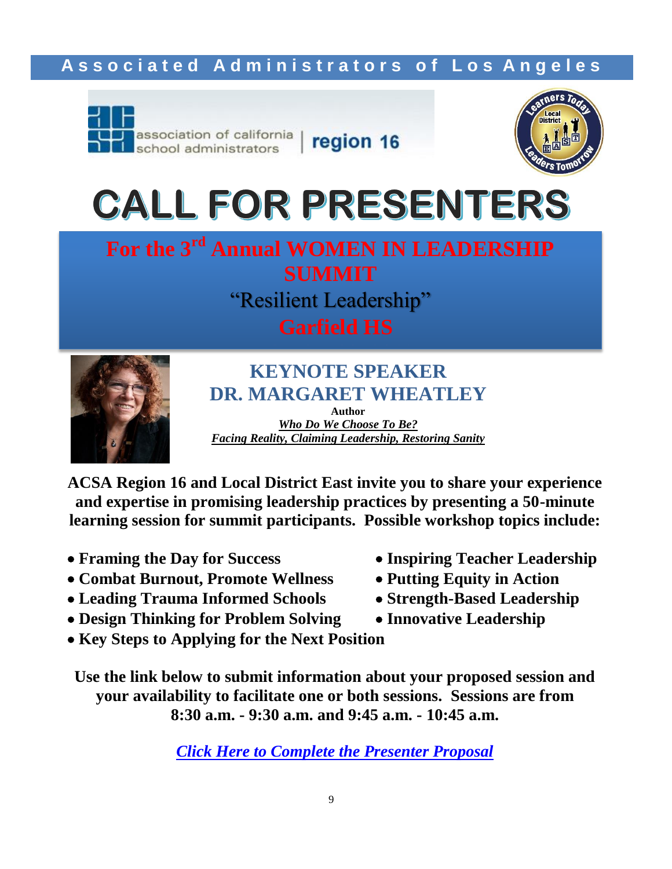

region 16



# **CALL FOR PRESENTERS**





**KEYNOTE SPEAKER DR. MARGARET WHEATLEY Author**

*Who Do We Choose To Be? Facing Reality, Claiming Leadership, Restoring Sanity*

**ACSA Region 16 and Local District East invite you to share your experience and expertise in promising leadership practices by presenting a 50-minute learning session for summit participants. Possible workshop topics include:**

- 
- Combat Burnout, Promote Wellness Putting Equity in Action
- **Leading Trauma Informed Schools Strength-Based Leadership**
- **Design Thinking for Problem Solving Innovative Leadership**
- **Key Steps to Applying for the Next Position**
- **Framing the Day for Success Inspiring Teacher Leadership**
	-
	-
	-

**Use the link below to submit information about your proposed session and your availability to facilitate one or both sessions. Sessions are from 8:30 a.m. - 9:30 a.m. and 9:45 a.m. - 10:45 a.m.**

*[Click Here to Complete the Presenter Proposal](https://goo.gl/forms/mRyl4bPIIcwm7JWX2)*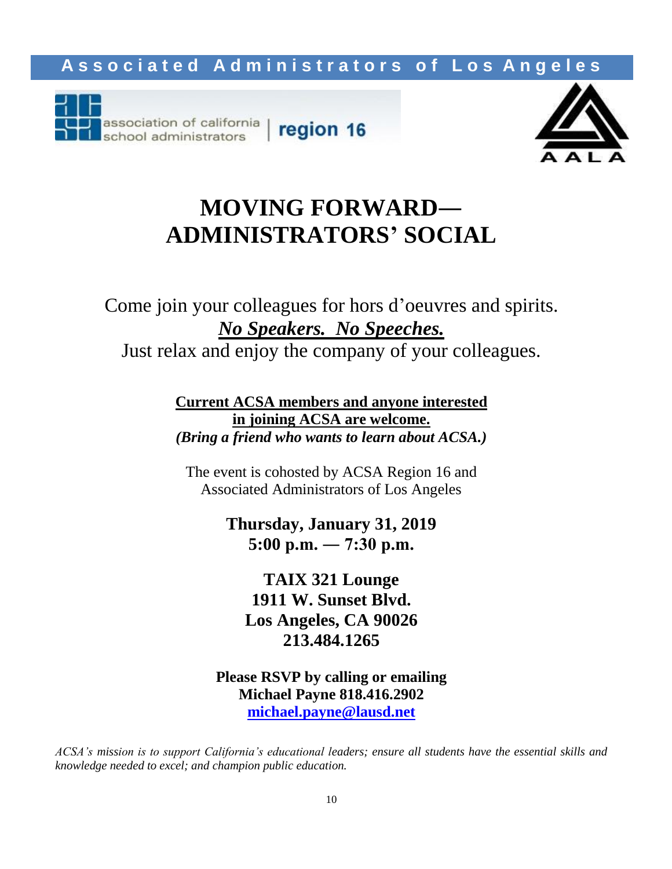



# **MOVING FORWARD― ADMINISTRATORS' SOCIAL**

Come join your colleagues for hors d'oeuvres and spirits. *No Speakers. No Speeches.*

Just relax and enjoy the company of your colleagues.

**Current ACSA members and anyone interested in joining ACSA are welcome.** *(Bring a friend who wants to learn about ACSA.)*

The event is cohosted by ACSA Region 16 and Associated Administrators of Los Angeles

> **Thursday, January 31, 2019 5:00 p.m. ― 7:30 p.m.**

**TAIX 321 Lounge 1911 W. Sunset Blvd. Los Angeles, CA 90026 213.484.1265**

**Please RSVP by calling or emailing Michael Payne 818.416.2902 [michael.payne@lausd.net](mailto:michael.payne@lausd.net)**

*ACSA's mission is to support California's educational leaders; ensure all students have the essential skills and knowledge needed to excel; and champion public education.*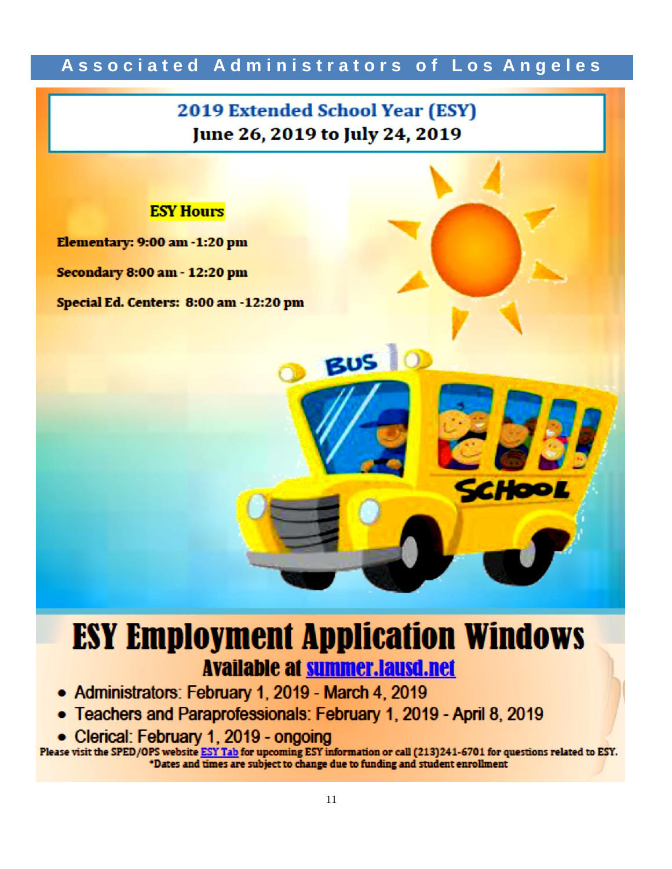# **2019 Extended School Year (ESY)** June 26, 2019 to July 24, 2019

BUSIO



Elementary: 9:00 am -1:20 pm

**Secondary 8:00 am - 12:20 pm** 

Special Ed. Centers: 8:00 am -12:20 pm

# **ESY Employment Application Windows Available at summer.lausd.net**

- Administrators: February 1, 2019 March 4, 2019
- Teachers and Paraprofessionals: February 1, 2019 April 8, 2019
- Clerical: February 1, 2019 ongoing

Please visit the SPED/OPS website ESY Tab for upcoming ESY information or call (213)241-6701 for questions related to ESY. \*Dates and times are subject to change due to funding and student enrollment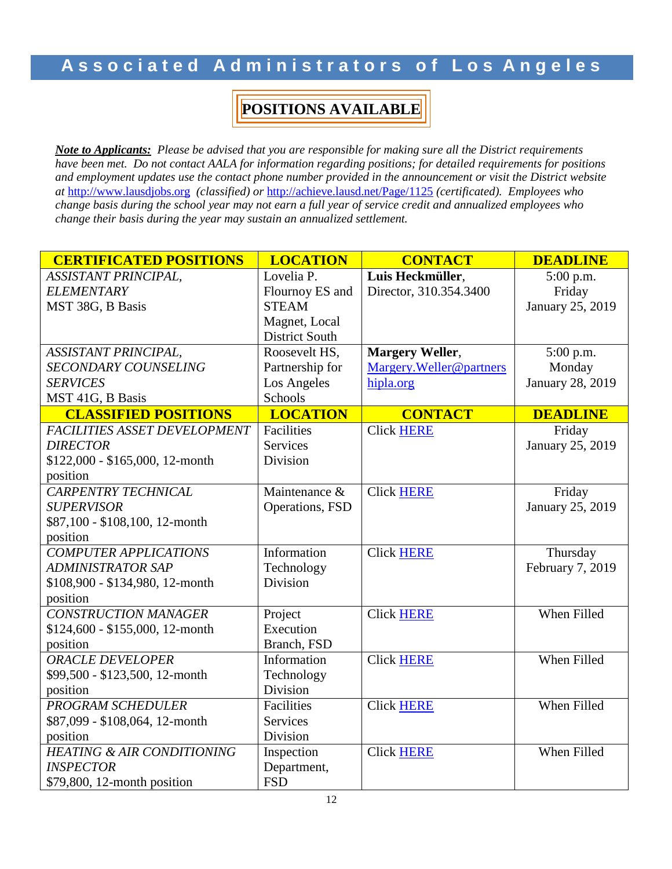## **POSITIONS AVAILABLE**

*Note to Applicants: Please be advised that you are responsible for making sure all the District requirements have been met. Do not contact AALA for information regarding positions; for detailed requirements for positions and employment updates use the contact phone number provided in the announcement or visit the District website at* [http://www.lausdjobs.org](http://www.lausdjobs.org/) *(classified) or* <http://achieve.lausd.net/Page/1125> *(certificated). Employees who change basis during the school year may not earn a full year of service credit and annualized employees who change their basis during the year may sustain an annualized settlement.*

| <b>CERTIFICATED POSITIONS</b>         | <b>LOCATION</b>       | <b>CONTACT</b>           | <b>DEADLINE</b>  |
|---------------------------------------|-----------------------|--------------------------|------------------|
| <b>ASSISTANT PRINCIPAL,</b>           | Lovelia P.            | Luis Heckmüller,         | 5:00 p.m.        |
| <b>ELEMENTARY</b>                     | Flournoy ES and       | Director, 310.354.3400   | Friday           |
| MST 38G, B Basis                      | <b>STEAM</b>          |                          | January 25, 2019 |
|                                       | Magnet, Local         |                          |                  |
|                                       | <b>District South</b> |                          |                  |
| ASSISTANT PRINCIPAL,                  | Roosevelt HS,         | <b>Margery Weller,</b>   | 5:00 p.m.        |
| <b>SECONDARY COUNSELING</b>           | Partnership for       | Margery. Weller@partners | Monday           |
| <b>SERVICES</b>                       | Los Angeles           | hipla.org                | January 28, 2019 |
| MST 41G, B Basis                      | Schools               |                          |                  |
| <b>CLASSIFIED POSITIONS</b>           | <b>LOCATION</b>       | <b>CONTACT</b>           | <b>DEADLINE</b>  |
| FACILITIES ASSET DEVELOPMENT          | Facilities            | <b>Click HERE</b>        | Friday           |
| <b>DIRECTOR</b>                       | <b>Services</b>       |                          | January 25, 2019 |
| \$122,000 - \$165,000, 12-month       | Division              |                          |                  |
| position                              |                       |                          |                  |
| <b>CARPENTRY TECHNICAL</b>            | Maintenance &         | <b>Click HERE</b>        | Friday           |
| <b>SUPERVISOR</b>                     | Operations, FSD       |                          | January 25, 2019 |
| \$87,100 - \$108,100, 12-month        |                       |                          |                  |
| position                              |                       |                          |                  |
| <b>COMPUTER APPLICATIONS</b>          | Information           | <b>Click HERE</b>        | Thursday         |
| <b>ADMINISTRATOR SAP</b>              | Technology            |                          | February 7, 2019 |
| \$108,900 - \$134,980, 12-month       | Division              |                          |                  |
| position                              |                       |                          |                  |
| <b>CONSTRUCTION MANAGER</b>           | Project               | <b>Click HERE</b>        | When Filled      |
| \$124,600 - \$155,000, 12-month       | Execution             |                          |                  |
| position                              | Branch, FSD           |                          |                  |
| <b>ORACLE DEVELOPER</b>               | Information           | <b>Click HERE</b>        | When Filled      |
| \$99,500 - \$123,500, 12-month        | Technology            |                          |                  |
| position                              | Division              |                          |                  |
| <b>PROGRAM SCHEDULER</b>              | Facilities            | <b>Click HERE</b>        | When Filled      |
| \$87,099 - \$108,064, 12-month        | <b>Services</b>       |                          |                  |
| position                              | Division              |                          |                  |
| <b>HEATING &amp; AIR CONDITIONING</b> | Inspection            | <b>Click HERE</b>        | When Filled      |
| <b>INSPECTOR</b>                      | Department,           |                          |                  |
| \$79,800, 12-month position           | <b>FSD</b>            |                          |                  |